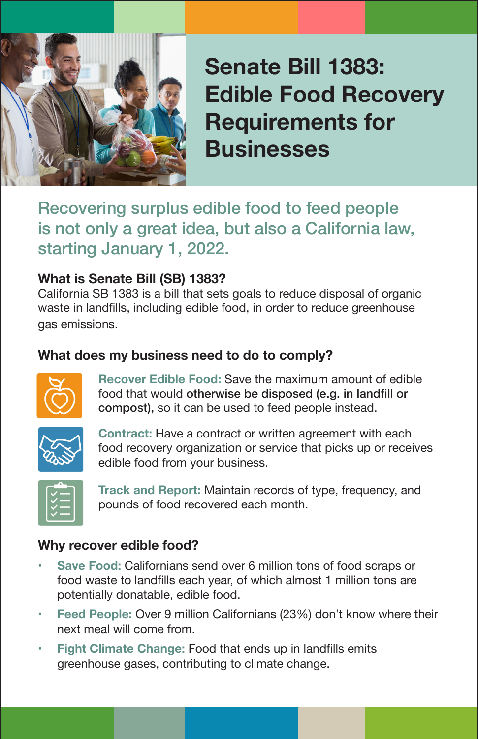

**Senate Bill 1383: Edible Food Recovery Requirements for Businesses**

Recovering surplus edible food to feed people is not only a great idea, but also a California law, starting January 1, 2022.

### **What is Senate Bill (SB) 1383?**

California SB 1383 is a bill that sets goals to reduce disposal of organic waste in landfills, including edible food, in order to reduce greenhouse gas emissions.

### **What does my business need to do to comply?**



**Recover Edible Food:** Save the maximum amount of edible food that would otherwise be disposed (e.g. in landfill or compost), so it can be used to feed people instead.



**Contract:** Have a contract or written agreement with each food recovery organization or service that picks up or receives edible food from your business.



**Track and Report:** Maintain records of type, frequency, and pounds of food recovered each month.

### **Why recover edible food?**

- **Save Food: Californians send over 6 million tons of food scraps or** food waste to landfills each year, of which almost 1 million tons are potentially donatable, edible food.
- **Feed People: Over 9 million Californians (23%) don't know where their** next meal will come from.
- **Fight Climate Change: Food that ends up in landfills emits** greenhouse gases, contributing to climate change.